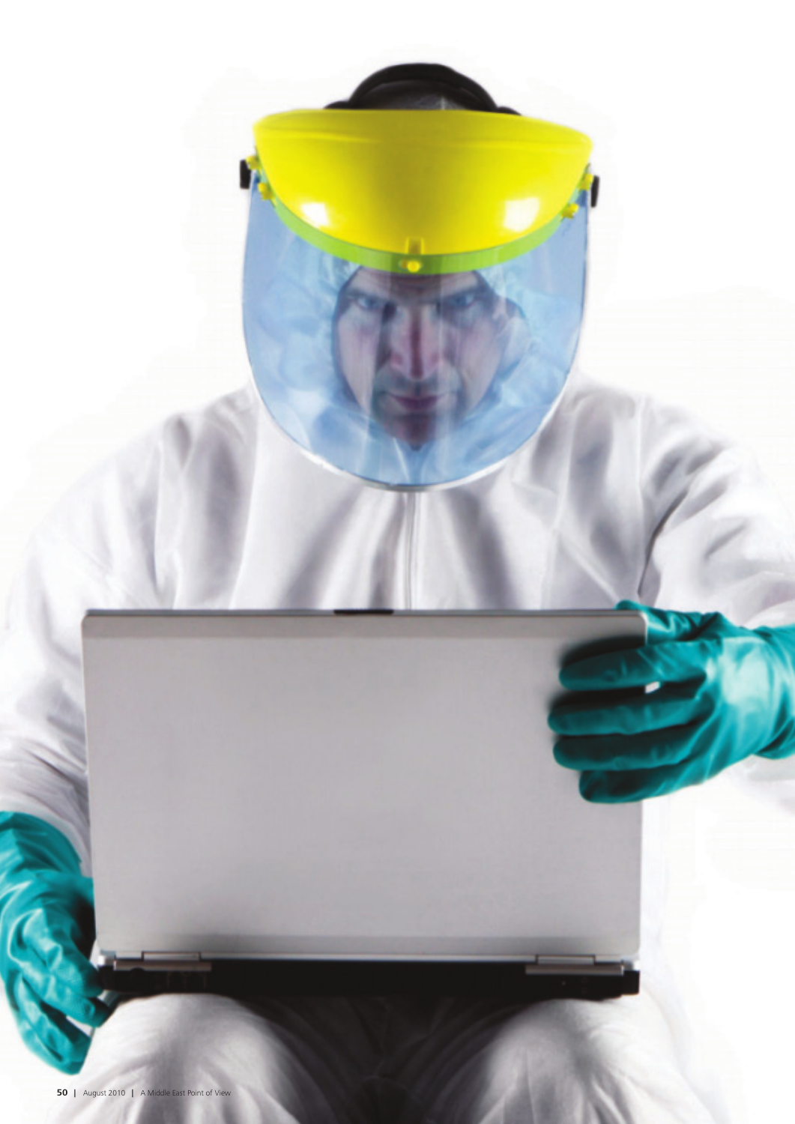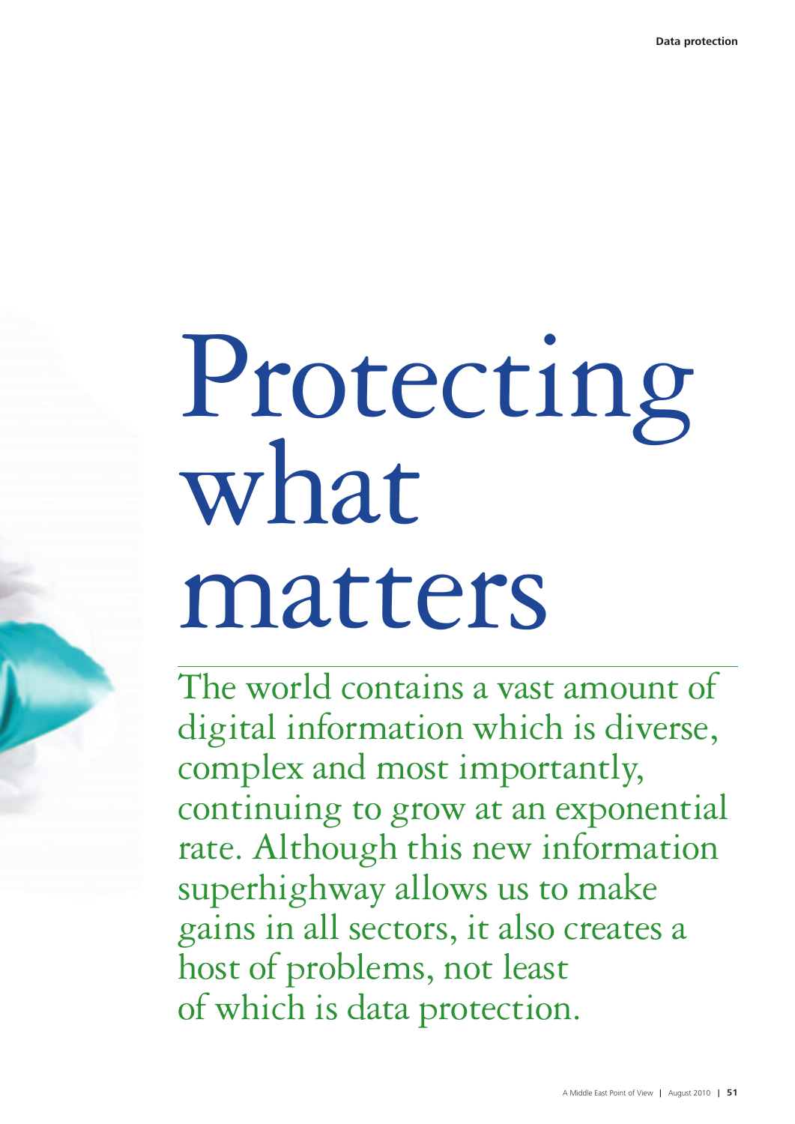# Protecting what matters

The world contains a vast amount of digital information which is diverse, complex and most importantly, continuing to grow at an exponential rate. Although this new information superhighway allows us to make gains in all sectors, it also creates a host of problems, not least of which is data protection.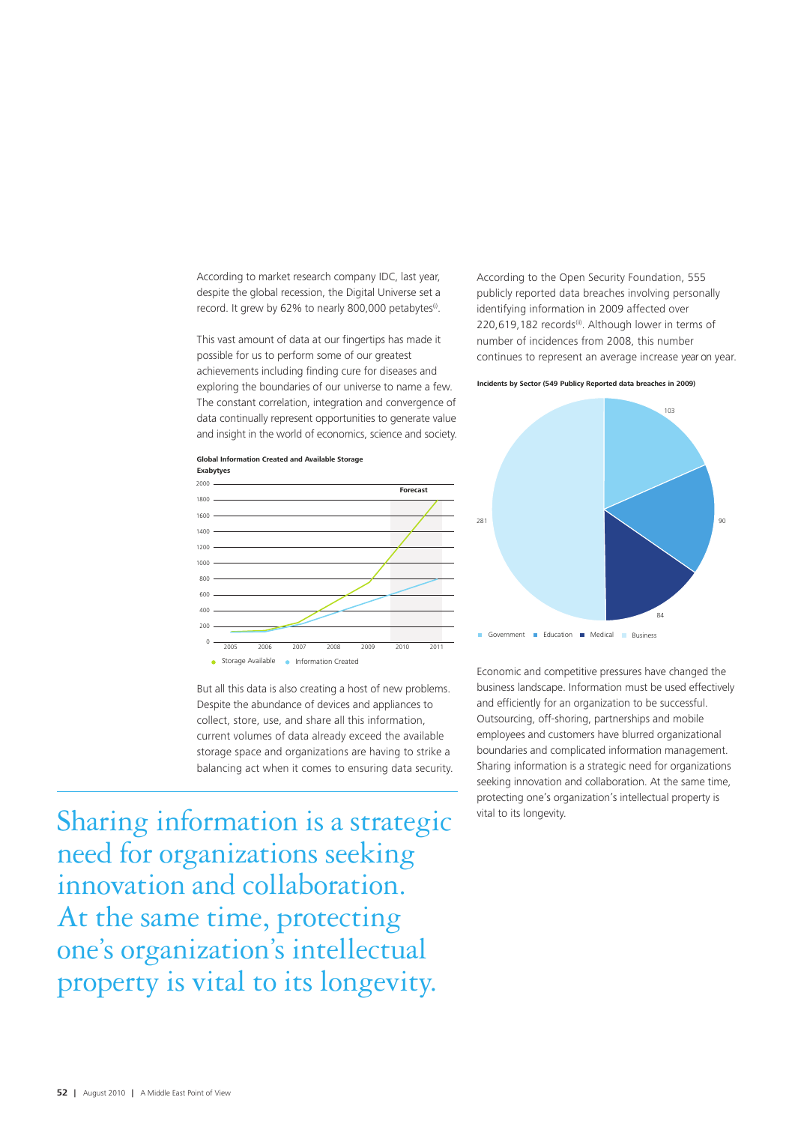According to market research company IDC, last year, despite the global recession, the Digital Universe set a record. It grew by 62% to nearly 800,000 petabytes<sup>(i)</sup>.

This vast amount of data at our fingertips has made it possible for us to perform some of our greatest achievements including finding cure for diseases and exploring the boundaries of our universe to name a few. The constant correlation, integration and convergence of data continually represent opportunities to generate value and insight in the world of economics, science and society.





But all this data is also creating a host of new problems. Despite the abundance of devices and appliances to collect, store, use, and share all this information, current volumes of data already exceed the available storage space and organizations are having to strike a balancing act when it comes to ensuring data security.

Sharing information is a strategic need for organizations seeking innovation and collaboration. At the same time, protecting one's organization's intellectual property is vital to its longevity.

According to the Open Security Foundation, 555 publicly reported data breaches involving personally identifying information in 2009 affected over 220,619,182 records<sup>(ii)</sup>. Although lower in terms of number of incidences from 2008, this number continues to represent an average increase year on year.

**Incidents by Sector (549 Publicy Reported data breaches in 2009)**



Economic and competitive pressures have changed the business landscape. Information must be used effectively and efficiently for an organization to be successful. Outsourcing, off-shoring, partnerships and mobile employees and customers have blurred organizational  boundaries and complicated information management. Sharing information is a strategic need for organizations seeking innovation and collaboration. At the same time, protecting one's organization's intellectual property is vital to its longevity.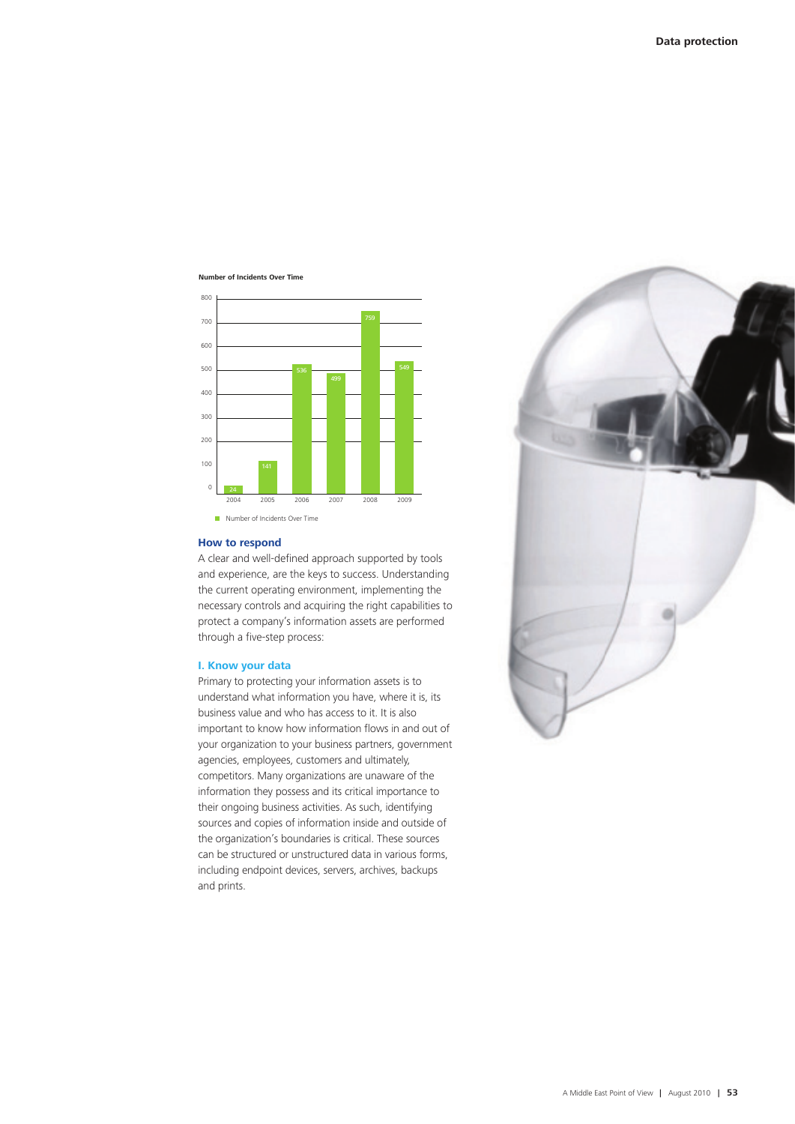

### **Number of Incidents Over Time**

### **How to respond**

A clear and well-defined approach supported by tools and experience, are the keys to success. Understanding the current operating environment, implementing the necessary controls and acquiring the right capabilities to protect a company's information assets are performed through a five-step process:

# **I. Know your data**

Primary to protecting your information assets is to understand what information you have, where it is, its business value and who has access to it. It is also important to know how information flows in and out of your organization to your business partners, government agencies, employees, customers and ultimately, competitors. Many organizations are unaware of the information they possess and its critical importance to their ongoing business activities. As such, identifying sources and copies of information inside and outside of the organization's boundaries is critical. These sources can be structured or unstructured data in various forms, including endpoint devices, servers, archives, backups and prints.

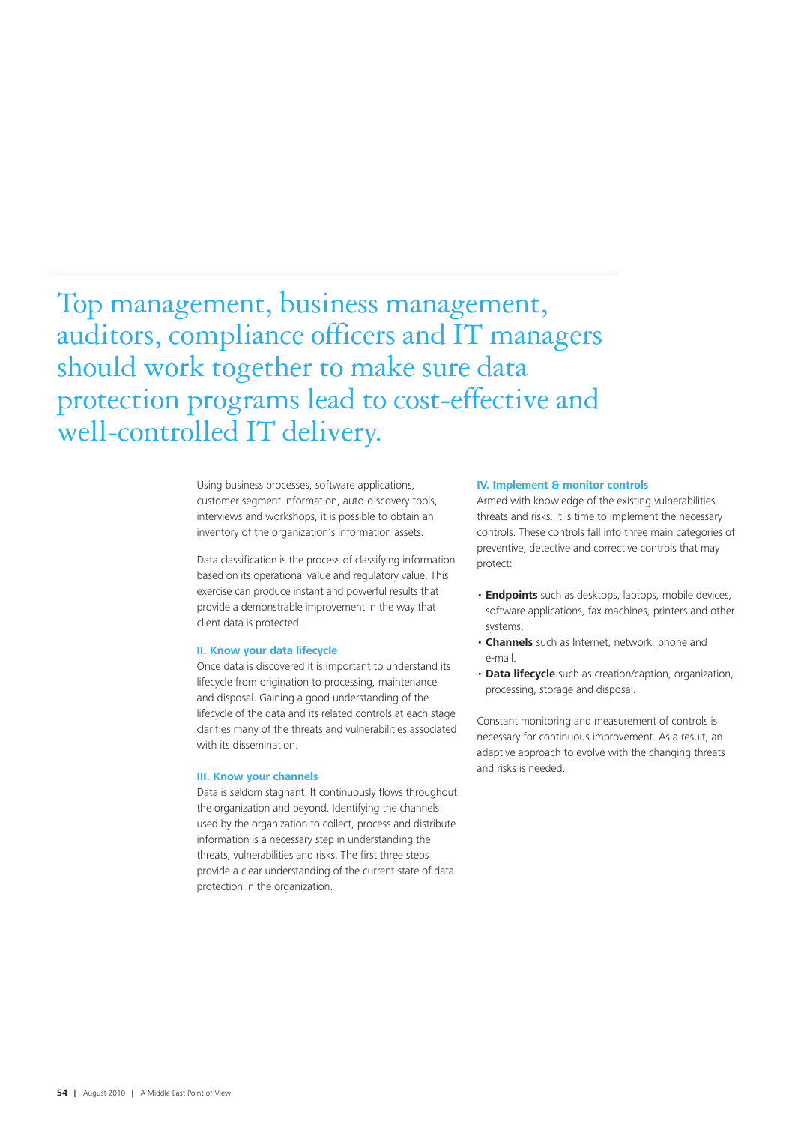Top management, business management, auditors, compliance officers and IT managers should work together to make sure data protection programs lead to cost-effective and well-controlled IT delivery.

> Using business processes, software applications, customer segment information, auto-discovery tools, interviews and workshops, it is possible to obtain an inventory of the organization's information assets.

Data classification is the process of classifying information based on its operational value and regulatory value. This exercise can produce instant and powerful results that provide a demonstrable improvement in the way that client data is protected.

## **II. Know your data lifecycle**

Once data is discovered it is important to understand its lifecycle from origination to processing, maintenance and disposal. Gaining a good understanding of the lifecycle of the data and its related controls at each stage clarifies many of the threats and vulnerabilities associated with its dissemination.

## **III. Know your channels**

Data is seldom stagnant. It continuously flows throughout the organization and beyond. Identifying the channels used by the organization to collect, process and distribute information is a necessary step in understanding the threats, vulnerabilities and risks. The first three steps provide a clear understanding of the current state of data protection in the organization.

### **IV. Implement & monitor controls**

Armed with knowledge of the existing vulnerabilities, threats and risks, it is time to implement the necessary controls. These controls fall into three main categories of preventive, detective and corrective controls that may protect:

- **Endpoints** such as desktops, laptops, mobile devices, software applications, fax machines, printers and other systems.
- **Channels** such as Internet, network, phone and e-mail.
- **Data lifecycle** such as creation/caption, organization, processing, storage and disposal.

Constant monitoring and measurement of controls is necessary for continuous improvement. As a result, an adaptive approach to evolve with the changing threats and risks is needed.